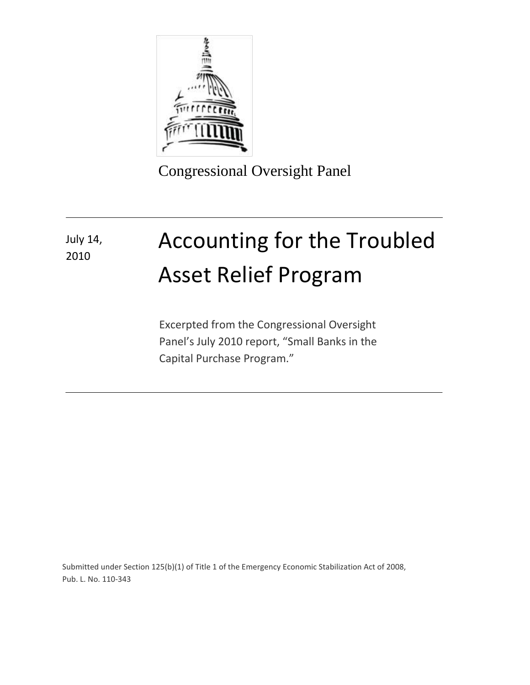

Congressional Oversight Panel

## Accounting for the Troubled Asset Relief Program July 14, 2010

Excerpted from the Congressional Oversight Panel's July 2010 report, "Small Banks in the Capital Purchase Program."

Submitted under Section 125(b)(1) of Title 1 of the Emergency Economic Stabilization Act of 2008, Pub. L. No. 110-343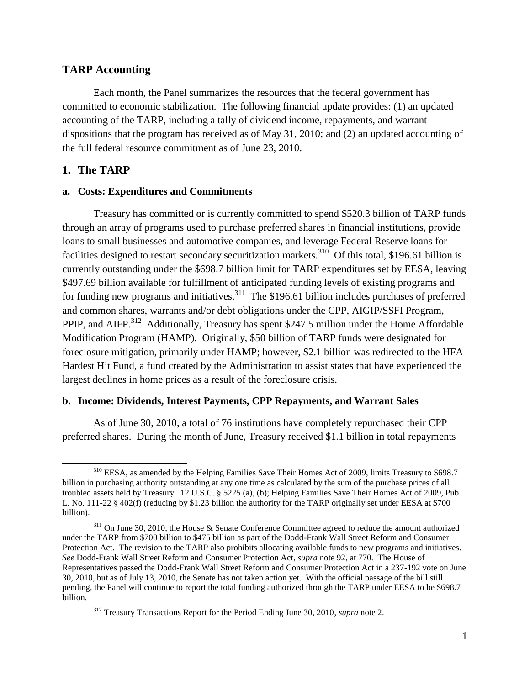### **TARP Accounting**

Each month, the Panel summarizes the resources that the federal government has committed to economic stabilization. The following financial update provides: (1) an updated accounting of the TARP, including a tally of dividend income, repayments, and warrant dispositions that the program has received as of May 31, 2010; and (2) an updated accounting of the full federal resource commitment as of June 23, 2010.

#### **1. The TARP**

#### **a. Costs: Expenditures and Commitments**

Treasury has committed or is currently committed to spend \$520.3 billion of TARP funds through an array of programs used to purchase preferred shares in financial institutions, provide loans to small businesses and automotive companies, and leverage Federal Reserve loans for facilities designed to restart secondary securitization markets.<sup>310</sup> Of this total, \$196.61 billion is currently outstanding under the \$698.7 billion limit for TARP expenditures set by EESA, leaving \$497.69 billion available for fulfillment of anticipated funding levels of existing programs and for funding new programs and initiatives.<sup>311</sup> The \$196.61 billion includes purchases of preferred and common shares, warrants and/or debt obligations under the CPP, AIGIP/SSFI Program, PPIP, and AIFP.<sup>312</sup> Additionally, Treasury has spent \$247.5 million under the Home Affordable Modification Program (HAMP). Originally, \$50 billion of TARP funds were designated for foreclosure mitigation, primarily under HAMP; however, \$2.1 billion was redirected to the HFA Hardest Hit Fund, a fund created by the Administration to assist states that have experienced the largest declines in home prices as a result of the foreclosure crisis.

#### **b. Income: Dividends, Interest Payments, CPP Repayments, and Warrant Sales**

As of June 30, 2010, a total of 76 institutions have completely repurchased their CPP preferred shares. During the month of June, Treasury received \$1.1 billion in total repayments

 $\overline{a}$ <sup>310</sup> EESA, as amended by the Helping Families Save Their Homes Act of 2009, limits Treasury to \$698.7 billion in purchasing authority outstanding at any one time as calculated by the sum of the purchase prices of all troubled assets held by Treasury. 12 U.S.C. § 5225 (a), (b); Helping Families Save Their Homes Act of 2009, Pub. L. No. 111-22 § 402(f) (reducing by \$1.23 billion the authority for the TARP originally set under EESA at \$700 billion).

<sup>&</sup>lt;sup>311</sup> On June 30, 2010, the House & Senate Conference Committee agreed to reduce the amount authorized under the TARP from \$700 billion to \$475 billion as part of the Dodd-Frank Wall Street Reform and Consumer Protection Act. The revision to the TARP also prohibits allocating available funds to new programs and initiatives. *See* Dodd-Frank Wall Street Reform and Consumer Protection Act, *supra* note 92, at 770. The House of Representatives passed the Dodd-Frank Wall Street Reform and Consumer Protection Act in a 237-192 vote on June 30, 2010, but as of July 13, 2010, the Senate has not taken action yet. With the official passage of the bill still pending, the Panel will continue to report the total funding authorized through the TARP under EESA to be \$698.7 billion.

<sup>312</sup> Treasury Transactions Report for the Period Ending June 30, 2010, *supra* note 2.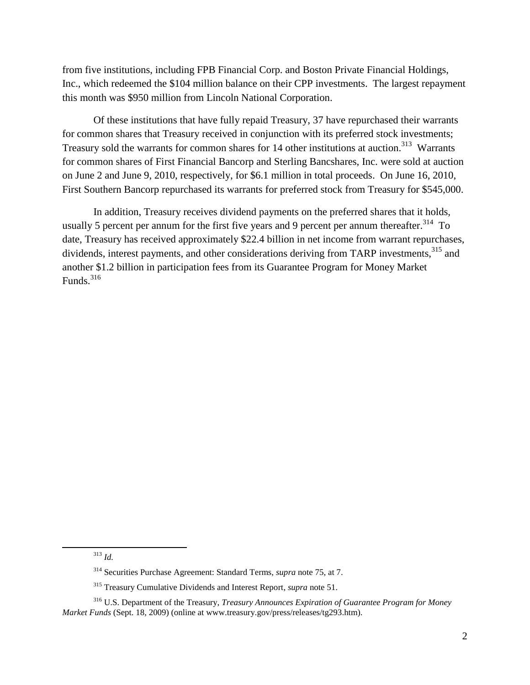from five institutions, including FPB Financial Corp. and Boston Private Financial Holdings, Inc., which redeemed the \$104 million balance on their CPP investments. The largest repayment this month was \$950 million from Lincoln National Corporation.

Of these institutions that have fully repaid Treasury, 37 have repurchased their warrants for common shares that Treasury received in conjunction with its preferred stock investments; Treasury sold the warrants for common shares for 14 other institutions at auction.<sup>313</sup> Warrants for common shares of First Financial Bancorp and Sterling Bancshares, Inc. were sold at auction on June 2 and June 9, 2010, respectively, for \$6.1 million in total proceeds. On June 16, 2010, First Southern Bancorp repurchased its warrants for preferred stock from Treasury for \$545,000.

In addition, Treasury receives dividend payments on the preferred shares that it holds, usually 5 percent per annum for the first five years and 9 percent per annum thereafter.<sup>314</sup> To date, Treasury has received approximately \$22.4 billion in net income from warrant repurchases, dividends, interest payments, and other considerations deriving from TARP investments,<sup>315</sup> and another \$1.2 billion in participation fees from its Guarantee Program for Money Market Funds. $316$ 

 $\overline{a}$ 

<sup>313</sup> *Id.*

<sup>314</sup> Securities Purchase Agreement: Standard Terms, *supra* note 75, at 7.

<sup>315</sup> Treasury Cumulative Dividends and Interest Report, *supra* note 51.

<sup>316</sup> U.S. Department of the Treasury, *Treasury Announces Expiration of Guarantee Program for Money Market Funds* (Sept. 18, 2009) (online at www.treasury.gov/press/releases/tg293.htm).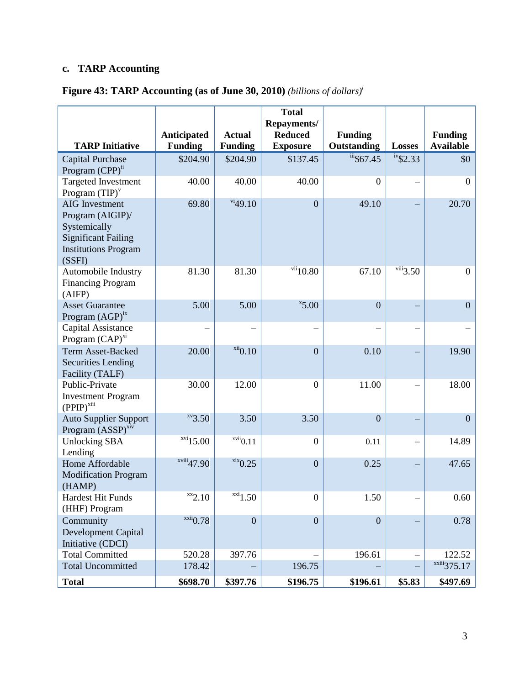# **c. TARP Accounting**

## **Figure 43: TARP Accounting (as of June 30, 2010)** *(billions of dollars)<sup>i</sup>*

|                                              |                            |                                             | <b>Total</b>                  |                         |                               |                         |
|----------------------------------------------|----------------------------|---------------------------------------------|-------------------------------|-------------------------|-------------------------------|-------------------------|
|                                              | Anticipated                | <b>Actual</b>                               | Repayments/<br><b>Reduced</b> | <b>Funding</b>          |                               | <b>Funding</b>          |
| <b>TARP Initiative</b>                       | <b>Funding</b>             | <b>Funding</b>                              | <b>Exposure</b>               | Outstanding             | <b>Losses</b>                 | <b>Available</b>        |
| <b>Capital Purchase</b>                      | \$204.90                   | \$204.90                                    | \$137.45                      | $\frac{1}{111}$ \$67.45 | $\overline{\text{iv}}$ \$2.33 | \$0                     |
| Program (CPP) <sup>ii</sup>                  |                            |                                             |                               |                         |                               |                         |
| <b>Targeted Investment</b>                   | 40.00                      | 40.00                                       | 40.00                         | $\theta$                |                               | $\mathbf{0}$            |
| Program $(TIP)^v$                            |                            |                                             |                               |                         |                               |                         |
| <b>AIG</b> Investment                        | 69.80                      | $\frac{\text{vi}}{49.10}$                   | $\overline{0}$                | 49.10                   |                               | 20.70                   |
| Program (AIGIP)/                             |                            |                                             |                               |                         |                               |                         |
| Systemically                                 |                            |                                             |                               |                         |                               |                         |
| <b>Significant Failing</b>                   |                            |                                             |                               |                         |                               |                         |
| <b>Institutions Program</b>                  |                            |                                             |                               |                         |                               |                         |
| (SSFI)<br>Automobile Industry                | 81.30                      | 81.30                                       | $\frac{\text{vii}}{10.80}$    | 67.10                   | $\overline{\text{viii}}3.50$  | $\boldsymbol{0}$        |
| <b>Financing Program</b>                     |                            |                                             |                               |                         |                               |                         |
| (AIFP)                                       |                            |                                             |                               |                         |                               |                         |
| <b>Asset Guarantee</b>                       | 5.00                       | 5.00                                        | $x$ 5.00                      | $\overline{0}$          |                               | $\overline{0}$          |
| Program $(AGP)^{ix}$                         |                            |                                             |                               |                         |                               |                         |
| Capital Assistance                           |                            |                                             |                               |                         |                               |                         |
| Program (CAP) <sup>xi</sup>                  |                            |                                             |                               |                         |                               |                         |
| <b>Term Asset-Backed</b>                     | 20.00                      | $xii$ <sub>0.10</sub>                       | $\boldsymbol{0}$              | 0.10                    |                               | 19.90                   |
| <b>Securities Lending</b>                    |                            |                                             |                               |                         |                               |                         |
| Facility (TALF)                              |                            |                                             |                               |                         |                               |                         |
| Public-Private                               | 30.00                      | 12.00                                       | $\boldsymbol{0}$              | 11.00                   |                               | 18.00                   |
| <b>Investment Program</b><br>$(PPIP)^{xiii}$ |                            |                                             |                               |                         |                               |                         |
| <b>Auto Supplier Support</b>                 | $xv$ <sub>3.50</sub>       | 3.50                                        | 3.50                          | $\overline{0}$          |                               | $\overline{0}$          |
| Program $(ASSP)^{xiv}$                       |                            |                                             |                               |                         |                               |                         |
| <b>Unlocking SBA</b>                         | $xvi$ 15.00                | $\overline{\phantom{a}^{\mathrm{vui}}$ 0.11 | $\boldsymbol{0}$              | 0.11                    |                               | 14.89                   |
| Lending                                      |                            |                                             |                               |                         |                               |                         |
| Home Affordable                              | xviii47.90                 | $xix$ <sub>0.25</sub>                       | $\overline{0}$                | 0.25                    |                               | 47.65                   |
| <b>Modification Program</b>                  |                            |                                             |                               |                         |                               |                         |
| (HAMP)                                       |                            |                                             |                               |                         |                               |                         |
| <b>Hardest Hit Funds</b><br>(HHF) Program    | $^{xx}$ 2.10               | $^{XX1}1.50$                                | $\boldsymbol{0}$              | 1.50                    |                               | 0.60                    |
| Community                                    | $\frac{\text{xxii}}{0.78}$ | $\overline{0}$                              | $\boldsymbol{0}$              | $\mathbf{0}$            |                               | 0.78                    |
| Development Capital                          |                            |                                             |                               |                         |                               |                         |
| Initiative (CDCI)                            |                            |                                             |                               |                         |                               |                         |
| <b>Total Committed</b>                       | 520.28                     | 397.76                                      |                               | 196.61                  |                               | 122.52                  |
| <b>Total Uncommitted</b>                     | 178.42                     |                                             | 196.75                        |                         |                               | xxiii <sub>375.17</sub> |
| <b>Total</b>                                 | \$698.70                   | \$397.76                                    | \$196.75                      | \$196.61                | \$5.83                        | \$497.69                |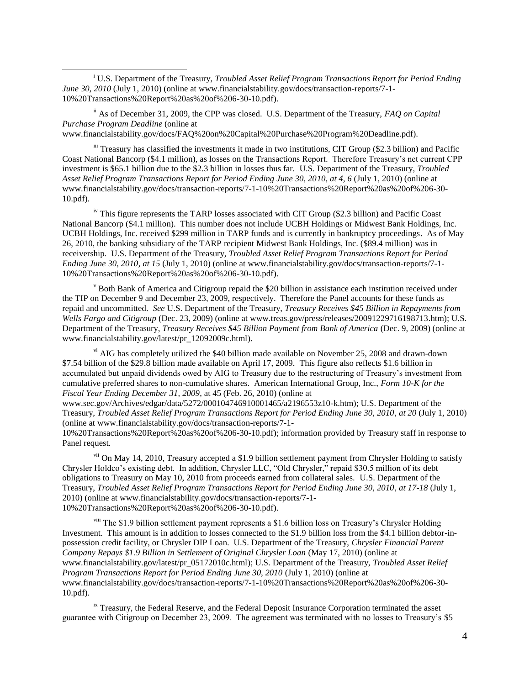<sup>i</sup> U.S. Department of the Treasury, *Troubled Asset Relief Program Transactions Report for Period Ending June 30, 2010* (July 1, 2010) (online at www.financialstability.gov/docs/transaction-reports/7-1-10%20Transactions%20Report%20as%20of%206-30-10.pdf).

ii As of December 31, 2009, the CPP was closed. U.S. Department of the Treasury, *FAQ on Capital Purchase Program Deadline* (online at

www.financialstability.gov/docs/FAQ%20on%20Capital%20Purchase%20Program%20Deadline.pdf).

 $\overline{\phantom{a}}$ 

iii Treasury has classified the investments it made in two institutions, CIT Group (\$2.3 billion) and Pacific Coast National Bancorp (\$4.1 million), as losses on the Transactions Report. Therefore Treasury's net current CPP investment is \$65.1 billion due to the \$2.3 billion in losses thus far. U.S. Department of the Treasury, *Troubled Asset Relief Program Transactions Report for Period Ending June 30, 2010, at 4, 6* (July 1, 2010) (online at www.financialstability.gov/docs/transaction-reports/7-1-10%20Transactions%20Report%20as%20of%206-30- 10.pdf).

<sup>iv</sup> This figure represents the TARP losses associated with CIT Group (\$2.3 billion) and Pacific Coast National Bancorp (\$4.1 million). This number does not include UCBH Holdings or Midwest Bank Holdings, Inc. UCBH Holdings, Inc. received \$299 million in TARP funds and is currently in bankruptcy proceedings. As of May 26, 2010, the banking subsidiary of the TARP recipient Midwest Bank Holdings, Inc. (\$89.4 million) was in receivership. U.S. Department of the Treasury, *Troubled Asset Relief Program Transactions Report for Period Ending June 30, 2010, at 15* (July 1, 2010) (online at www.financialstability.gov/docs/transaction-reports/7-1- 10%20Transactions%20Report%20as%20of%206-30-10.pdf).

 $\rm{v}$  Both Bank of America and Citigroup repaid the \$20 billion in assistance each institution received under the TIP on December 9 and December 23, 2009, respectively. Therefore the Panel accounts for these funds as repaid and uncommitted. *See* U.S. Department of the Treasury, *Treasury Receives \$45 Billion in Repayments from Wells Fargo and Citigroup* (Dec. 23, 2009) (online at www.treas.gov/press/releases/20091229716198713.htm); U.S. Department of the Treasury, *Treasury Receives \$45 Billion Payment from Bank of America* (Dec. 9, 2009) (online at www.financialstability.gov/latest/pr\_12092009c.html).

vi AIG has completely utilized the \$40 billion made available on November 25, 2008 and drawn-down \$7.54 billion of the \$29.8 billion made available on April 17, 2009. This figure also reflects \$1.6 billion in accumulated but unpaid dividends owed by AIG to Treasury due to the restructuring of Treasury's investment from cumulative preferred shares to non-cumulative shares. American International Group, Inc., *Form 10-K for the Fiscal Year Ending December 31, 2009*, at 45 (Feb. 26, 2010) (online at

www.sec.gov/Archives/edgar/data/5272/000104746910001465/a2196553z10-k.htm); U.S. Department of the Treasury, *Troubled Asset Relief Program Transactions Report for Period Ending June 30, 2010, at 20* (July 1, 2010) (online at www.financialstability.gov/docs/transaction-reports/7-1-

10%20Transactions%20Report%20as%20of%206-30-10.pdf); information provided by Treasury staff in response to Panel request.

<sup>vii</sup> On May 14, 2010, Treasury accepted a \$1.9 billion settlement payment from Chrysler Holding to satisfy Chrysler Holdco's existing debt. In addition, Chrysler LLC, "Old Chrysler," repaid \$30.5 million of its debt obligations to Treasury on May 10, 2010 from proceeds earned from collateral sales. U.S. Department of the Treasury, *Troubled Asset Relief Program Transactions Report for Period Ending June 30, 2010, at 17-18* (July 1, 2010) (online at www.financialstability.gov/docs/transaction-reports/7-1- 10%20Transactions%20Report%20as%20of%206-30-10.pdf).

viii The \$1.9 billion settlement payment represents a \$1.6 billion loss on Treasury's Chrysler Holding Investment. This amount is in addition to losses connected to the \$1.9 billion loss from the \$4.1 billion debtor-inpossession credit facility, or Chrysler DIP Loan. U.S. Department of the Treasury, *Chrysler Financial Parent Company Repays \$1.9 Billion in Settlement of Original Chrysler Loan* (May 17, 2010) (online at www.financialstability.gov/latest/pr\_05172010c.html); U.S. Department of the Treasury, *Troubled Asset Relief Program Transactions Report for Period Ending June 30, 2010* (July 1, 2010) (online at www.financialstability.gov/docs/transaction-reports/7-1-10%20Transactions%20Report%20as%20of%206-30- 10.pdf).

<sup>ix</sup> Treasury, the Federal Reserve, and the Federal Deposit Insurance Corporation terminated the asset guarantee with Citigroup on December 23, 2009. The agreement was terminated with no losses to Treasury's \$5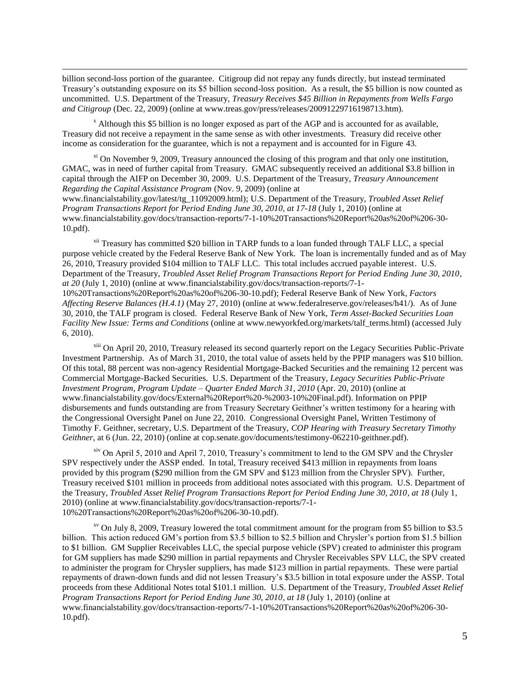billion second-loss portion of the guarantee. Citigroup did not repay any funds directly, but instead terminated Treasury's outstanding exposure on its \$5 billion second-loss position. As a result, the \$5 billion is now counted as uncommitted. U.S. Department of the Treasury, *Treasury Receives \$45 Billion in Repayments from Wells Fargo and Citigroup* (Dec. 22, 2009) (online at www.treas.gov/press/releases/20091229716198713.htm).

<sup>x</sup> Although this \$5 billion is no longer exposed as part of the AGP and is accounted for as available, Treasury did not receive a repayment in the same sense as with other investments. Treasury did receive other income as consideration for the guarantee, which is not a repayment and is accounted for in Figure 43.

 $\overline{\phantom{a}}$ 

 $\frac{x_i}{x_i}$  On November 9, 2009, Treasury announced the closing of this program and that only one institution, GMAC, was in need of further capital from Treasury. GMAC subsequently received an additional \$3.8 billion in capital through the AIFP on December 30, 2009. U.S. Department of the Treasury, *Treasury Announcement Regarding the Capital Assistance Program* (Nov. 9, 2009) (online at

www.financialstability.gov/latest/tg\_11092009.html); U.S. Department of the Treasury, *Troubled Asset Relief Program Transactions Report for Period Ending June 30, 2010, at 17-18* (July 1, 2010) (online at www.financialstability.gov/docs/transaction-reports/7-1-10%20Transactions%20Report%20as%20of%206-30- 10.pdf).

<sup>xii</sup> Treasury has committed \$20 billion in TARP funds to a loan funded through TALF LLC, a special purpose vehicle created by the Federal Reserve Bank of New York. The loan is incrementally funded and as of May 26, 2010, Treasury provided \$104 million to TALF LLC. This total includes accrued payable interest. U.S. Department of the Treasury, *Troubled Asset Relief Program Transactions Report for Period Ending June 30, 2010, at 20* (July 1, 2010) (online at www.financialstability.gov/docs/transaction-reports/7-1- 10%20Transactions%20Report%20as%20of%206-30-10.pdf); Federal Reserve Bank of New York, *Factors Affecting Reserve Balances (H.4.1)* (May 27, 2010) (online at www.federalreserve.gov/releases/h41/). As of June 30, 2010, the TALF program is closed. Federal Reserve Bank of New York, *Term Asset-Backed Securities Loan Facility New Issue: Terms and Conditions* (online at www.newyorkfed.org/markets/talf\_terms.html) (accessed July 6, 2010).

<sup>xiii</sup> On April 20, 2010, Treasury released its second quarterly report on the Legacy Securities Public-Private Investment Partnership. As of March 31, 2010, the total value of assets held by the PPIP managers was \$10 billion. Of this total, 88 percent was non-agency Residential Mortgage-Backed Securities and the remaining 12 percent was Commercial Mortgage-Backed Securities. U.S. Department of the Treasury, *Legacy Securities Public-Private Investment Program, Program Update – Quarter Ended March 31, 2010* (Apr. 20, 2010) (online at www.financialstability.gov/docs/External%20Report%20-%2003-10%20Final.pdf). Information on PPIP disbursements and funds outstanding are from Treasury Secretary Geithner's written testimony for a hearing with the Congressional Oversight Panel on June 22, 2010. Congressional Oversight Panel, Written Testimony of Timothy F. Geithner, secretary, U.S. Department of the Treasury, *COP Hearing with Treasury Secretary Timothy Geithner*, at 6 (Jun. 22, 2010) (online at cop.senate.gov/documents/testimony-062210-geithner.pdf).

<sup>xiv</sup> On April 5, 2010 and April 7, 2010, Treasury's commitment to lend to the GM SPV and the Chrysler SPV respectively under the ASSP ended. In total, Treasury received \$413 million in repayments from loans provided by this program (\$290 million from the GM SPV and \$123 million from the Chrysler SPV). Further, Treasury received \$101 million in proceeds from additional notes associated with this program. U.S. Department of the Treasury, *Troubled Asset Relief Program Transactions Report for Period Ending June 30, 2010, at 18* (July 1, 2010) (online at www.financialstability.gov/docs/transaction-reports/7-1- 10%20Transactions%20Report%20as%20of%206-30-10.pdf).

 $x<sup>v</sup>$  On July 8, 2009, Treasury lowered the total commitment amount for the program from \$5 billion to \$3.5 billion. This action reduced GM's portion from \$3.5 billion to \$2.5 billion and Chrysler's portion from \$1.5 billion to \$1 billion. GM Supplier Receivables LLC, the special purpose vehicle (SPV) created to administer this program for GM suppliers has made \$290 million in partial repayments and Chrysler Receivables SPV LLC, the SPV created to administer the program for Chrysler suppliers, has made \$123 million in partial repayments. These were partial repayments of drawn-down funds and did not lessen Treasury's \$3.5 billion in total exposure under the ASSP. Total proceeds from these Additional Notes total \$101.1 million. U.S. Department of the Treasury, *Troubled Asset Relief Program Transactions Report for Period Ending June 30, 2010, at 18* (July 1, 2010) (online at www.financialstability.gov/docs/transaction-reports/7-1-10%20Transactions%20Report%20as%20of%206-30- 10.pdf).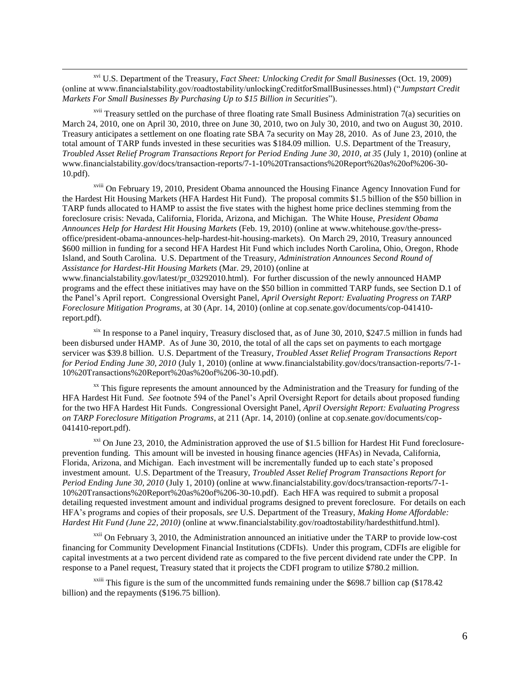xvi U.S. Department of the Treasury, *Fact Sheet: Unlocking Credit for Small Businesses* (Oct. 19, 2009) (online at www.financialstability.gov/roadtostability/unlockingCreditforSmallBusinesses.html) ("*Jumpstart Credit Markets For Small Businesses By Purchasing Up to \$15 Billion in Securities*").

 $\overline{\phantom{a}}$ 

 $\frac{x}{y}$  Treasury settled on the purchase of three floating rate Small Business Administration 7(a) securities on March 24, 2010, one on April 30, 2010, three on June 30, 2010, two on July 30, 2010, and two on August 30, 2010. Treasury anticipates a settlement on one floating rate SBA 7a security on May 28, 2010. As of June 23, 2010, the total amount of TARP funds invested in these securities was \$184.09 million. U.S. Department of the Treasury, *Troubled Asset Relief Program Transactions Report for Period Ending June 30, 2010, at 35* (July 1, 2010) (online at www.financialstability.gov/docs/transaction-reports/7-1-10%20Transactions%20Report%20as%20of%206-30- 10.pdf).

xviii On February 19, 2010, President Obama announced the Housing Finance Agency Innovation Fund for the Hardest Hit Housing Markets (HFA Hardest Hit Fund). The proposal commits \$1.5 billion of the \$50 billion in TARP funds allocated to HAMP to assist the five states with the highest home price declines stemming from the foreclosure crisis: Nevada, California, Florida, Arizona, and Michigan. The White House, *President Obama Announces Help for Hardest Hit Housing Markets* (Feb. 19, 2010) (online at www.whitehouse.gov/the-pressoffice/president-obama-announces-help-hardest-hit-housing-markets). On March 29, 2010, Treasury announced \$600 million in funding for a second HFA Hardest Hit Fund which includes North Carolina, Ohio, Oregon, Rhode Island, and South Carolina. U.S. Department of the Treasury, *Administration Announces Second Round of Assistance for Hardest-Hit Housing Markets* (Mar. 29, 2010) (online at

www.financialstability.gov/latest/pr\_03292010.html). For further discussion of the newly announced HAMP programs and the effect these initiatives may have on the \$50 billion in committed TARP funds, see Section D.1 of the Panel's April report.Congressional Oversight Panel, *April Oversight Report: Evaluating Progress on TARP Foreclosure Mitigation Programs*, at 30 (Apr. 14, 2010) (online at cop.senate.gov/documents/cop-041410 report.pdf).

xix In response to a Panel inquiry, Treasury disclosed that, as of June 30, 2010, \$247.5 million in funds had been disbursed under HAMP. As of June 30, 2010, the total of all the caps set on payments to each mortgage servicer was \$39.8 billion. U.S. Department of the Treasury, *Troubled Asset Relief Program Transactions Report for Period Ending June 30, 2010* (July 1, 2010) (online at www.financialstability.gov/docs/transaction-reports/7-1- 10%20Transactions%20Report%20as%20of%206-30-10.pdf).

 $\frac{xx}{x}$  This figure represents the amount announced by the Administration and the Treasury for funding of the HFA Hardest Hit Fund. *See* footnote 594 of the Panel's April Oversight Report for details about proposed funding for the two HFA Hardest Hit Funds. Congressional Oversight Panel, *April Oversight Report: Evaluating Progress on TARP Foreclosure Mitigation Programs*, at 211 (Apr. 14, 2010) (online at cop.senate.gov/documents/cop-041410-report.pdf).

 $xxi$  On June 23, 2010, the Administration approved the use of \$1.5 billion for Hardest Hit Fund foreclosureprevention funding. This amount will be invested in housing finance agencies (HFAs) in Nevada, California, Florida, Arizona, and Michigan. Each investment will be incrementally funded up to each state's proposed investment amount. U.S. Department of the Treasury, *Troubled Asset Relief Program Transactions Report for Period Ending June 30, 2010* (July 1, 2010) (online at www.financialstability.gov/docs/transaction-reports/7-1- 10%20Transactions%20Report%20as%20of%206-30-10.pdf). Each HFA was required to submit a proposal detailing requested investment amount and individual programs designed to prevent foreclosure. For details on each HFA's programs and copies of their proposals, *see* U.S. Department of the Treasury, *Making Home Affordable: Hardest Hit Fund (June 22, 2010)* (online at www.financialstability.gov/roadtostability/hardesthitfund.html).

 $x^{\text{xxii}}$  On February 3, 2010, the Administration announced an initiative under the TARP to provide low-cost financing for Community Development Financial Institutions (CDFIs). Under this program, CDFIs are eligible for capital investments at a two percent dividend rate as compared to the five percent dividend rate under the CPP. In response to a Panel request, Treasury stated that it projects the CDFI program to utilize \$780.2 million.

 $x^2$ <sup>xxiii</sup> This figure is the sum of the uncommitted funds remaining under the \$698.7 billion cap (\$178.42) billion) and the repayments (\$196.75 billion).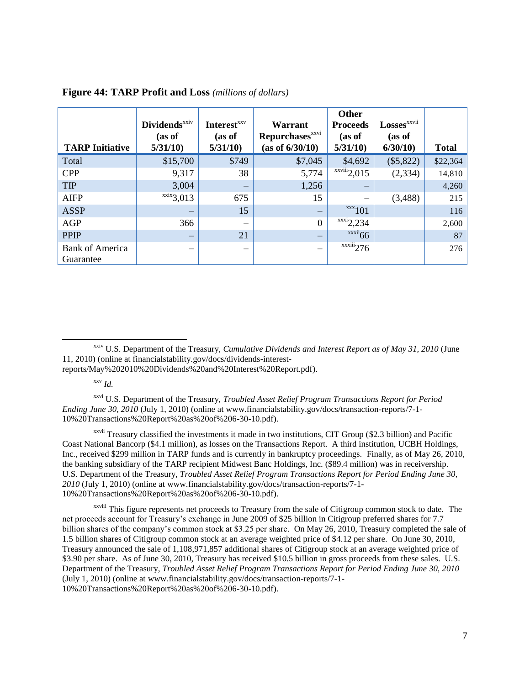|                                     | <b>Dividends</b> <sup>xxiv</sup><br>(as of | <b>Interest</b> <sup>xxv</sup><br>(as of | Warrant<br><b>Repurchases</b> <sup>xxvi</sup> | Other<br><b>Proceeds</b><br>(as of | <b>Losses</b> <sup>xxvii</sup><br>(as of |              |
|-------------------------------------|--------------------------------------------|------------------------------------------|-----------------------------------------------|------------------------------------|------------------------------------------|--------------|
| <b>TARP Initiative</b>              | 5/31/10                                    | 5/31/10                                  | (as of 6/30/10)                               | 5/31/10                            | 6/30/10                                  | <b>Total</b> |
| Total                               | \$15,700                                   | \$749                                    | \$7,045                                       | \$4,692                            | $(\$5,822)$                              | \$22,364     |
| <b>CPP</b>                          | 9,317                                      | 38                                       | 5,774                                         | $\overline{\text{xxviii}}$ 2,015   | (2, 334)                                 | 14,810       |
| <b>TIP</b>                          | 3,004                                      | -                                        | 1,256                                         | —                                  |                                          | 4,260        |
| <b>AIFP</b>                         | $\overline{\text{xxix}}$ 3,013             | 675                                      | 15                                            | -                                  | (3,488)                                  | 215          |
| <b>ASSP</b>                         | —                                          | 15                                       | -                                             | $\frac{xxx}{101}$                  |                                          | 116          |
| <b>AGP</b>                          | 366                                        | -                                        | $\mathbf{0}$                                  | $\frac{xxxi}{2,234}$               |                                          | 2,600        |
| <b>PPIP</b>                         |                                            | 21                                       |                                               | $\frac{xxxi}{66}$                  |                                          | 87           |
| <b>Bank of America</b><br>Guarantee |                                            | —                                        |                                               | $\overline{\text{xxiii}}$ 276      |                                          | 276          |

#### **Figure 44: TARP Profit and Loss** *(millions of dollars)*

xxiv U.S. Department of the Treasury, *Cumulative Dividends and Interest Report as of May 31, 2010* (June 11, 2010) (online at financialstability.gov/docs/dividends-interest-

reports/May%202010%20Dividends%20and%20Interest%20Report.pdf).

 $\frac{xxv}{ld}$ .

 $\overline{\phantom{a}}$ 

xxvi U.S. Department of the Treasury, *Troubled Asset Relief Program Transactions Report for Period Ending June 30, 2010* (July 1, 2010) (online at www.financialstability.gov/docs/transaction-reports/7-1- 10%20Transactions%20Report%20as%20of%206-30-10.pdf).

xxvii Treasury classified the investments it made in two institutions, CIT Group (\$2.3 billion) and Pacific Coast National Bancorp (\$4.1 million), as losses on the Transactions Report. A third institution, UCBH Holdings, Inc., received \$299 million in TARP funds and is currently in bankruptcy proceedings. Finally, as of May 26, 2010, the banking subsidiary of the TARP recipient Midwest Banc Holdings, Inc. (\$89.4 million) was in receivership. U.S. Department of the Treasury, *Troubled Asset Relief Program Transactions Report for Period Ending June 30, 2010* (July 1, 2010) (online at www.financialstability.gov/docs/transaction-reports/7-1- 10%20Transactions%20Report%20as%20of%206-30-10.pdf).

xxviii This figure represents net proceeds to Treasury from the sale of Citigroup common stock to date. The net proceeds account for Treasury's exchange in June 2009 of \$25 billion in Citigroup preferred shares for 7.7 billion shares of the company's common stock at \$3.25 per share. On May 26, 2010, Treasury completed the sale of 1.5 billion shares of Citigroup common stock at an average weighted price of \$4.12 per share. On June 30, 2010, Treasury announced the sale of 1,108,971,857 additional shares of Citigroup stock at an average weighted price of \$3.90 per share. As of June 30, 2010, Treasury has received \$10.5 billion in gross proceeds from these sales. U.S. Department of the Treasury, *Troubled Asset Relief Program Transactions Report for Period Ending June 30, 2010* (July 1, 2010) (online at www.financialstability.gov/docs/transaction-reports/7-1- 10%20Transactions%20Report%20as%20of%206-30-10.pdf).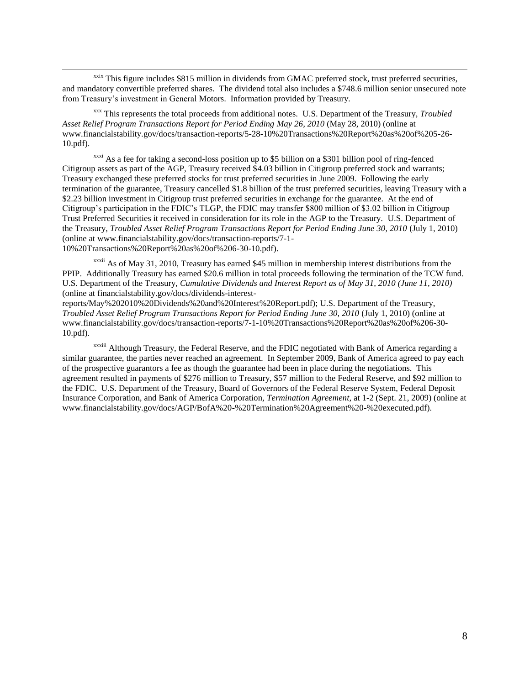xxix This figure includes \$815 million in dividends from GMAC preferred stock, trust preferred securities, and mandatory convertible preferred shares. The dividend total also includes a \$748.6 million senior unsecured note from Treasury's investment in General Motors. Information provided by Treasury.

 $\overline{\phantom{a}}$ 

xxx This represents the total proceeds from additional notes. U.S. Department of the Treasury, *Troubled Asset Relief Program Transactions Report for Period Ending May 26, 2010* (May 28, 2010) (online at www.financialstability.gov/docs/transaction-reports/5-28-10%20Transactions%20Report%20as%20of%205-26- 10.pdf).

 $\frac{x}{x}$  As a fee for taking a second-loss position up to \$5 billion on a \$301 billion pool of ring-fenced Citigroup assets as part of the AGP, Treasury received \$4.03 billion in Citigroup preferred stock and warrants; Treasury exchanged these preferred stocks for trust preferred securities in June 2009. Following the early termination of the guarantee, Treasury cancelled \$1.8 billion of the trust preferred securities, leaving Treasury with a \$2.23 billion investment in Citigroup trust preferred securities in exchange for the guarantee. At the end of Citigroup's participation in the FDIC's TLGP, the FDIC may transfer \$800 million of \$3.02 billion in Citigroup Trust Preferred Securities it received in consideration for its role in the AGP to the Treasury. U.S. Department of the Treasury, *Troubled Asset Relief Program Transactions Report for Period Ending June 30, 2010* (July 1, 2010) (online at www.financialstability.gov/docs/transaction-reports/7-1- 10%20Transactions%20Report%20as%20of%206-30-10.pdf).

 $x$ <sup>xxxii</sup> As of May 31, 2010, Treasury has earned \$45 million in membership interest distributions from the PPIP. Additionally Treasury has earned \$20.6 million in total proceeds following the termination of the TCW fund. U.S. Department of the Treasury, *Cumulative Dividends and Interest Report as of May 31, 2010 (June 11, 2010)*  (online at financialstability.gov/docs/dividends-interest-

reports/May%202010%20Dividends%20and%20Interest%20Report.pdf); U.S. Department of the Treasury, *Troubled Asset Relief Program Transactions Report for Period Ending June 30, 2010* (July 1, 2010) (online at www.financialstability.gov/docs/transaction-reports/7-1-10%20Transactions%20Report%20as%20of%206-30- 10.pdf).

xxxiii Although Treasury, the Federal Reserve, and the FDIC negotiated with Bank of America regarding a similar guarantee, the parties never reached an agreement. In September 2009, Bank of America agreed to pay each of the prospective guarantors a fee as though the guarantee had been in place during the negotiations. This agreement resulted in payments of \$276 million to Treasury, \$57 million to the Federal Reserve, and \$92 million to the FDIC. U.S. Department of the Treasury, Board of Governors of the Federal Reserve System, Federal Deposit Insurance Corporation, and Bank of America Corporation, *Termination Agreement*, at 1-2 (Sept. 21, 2009) (online at www.financialstability.gov/docs/AGP/BofA%20-%20Termination%20Agreement%20-%20executed.pdf).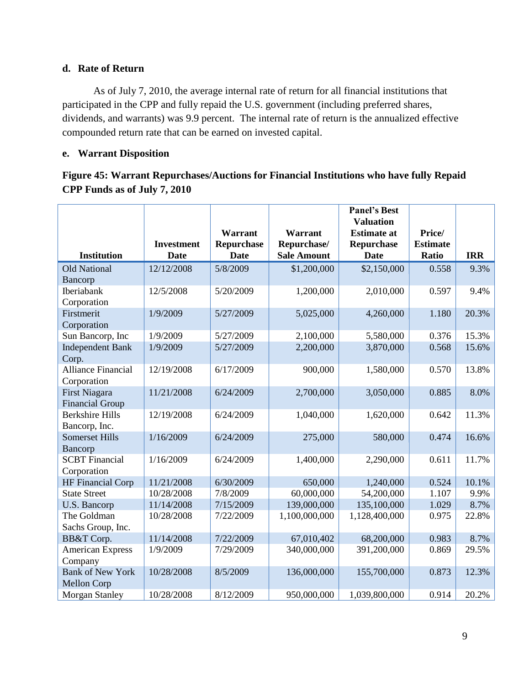## **d. Rate of Return**

As of July 7, 2010, the average internal rate of return for all financial institutions that participated in the CPP and fully repaid the U.S. government (including preferred shares, dividends, and warrants) was 9.9 percent. The internal rate of return is the annualized effective compounded return rate that can be earned on invested capital.

## **e. Warrant Disposition**

**Figure 45: Warrant Repurchases/Auctions for Financial Institutions who have fully Repaid CPP Funds as of July 7, 2010**

|                           |                   |                |                    | <b>Panel's Best</b>                    |                 |            |
|---------------------------|-------------------|----------------|--------------------|----------------------------------------|-----------------|------------|
|                           |                   | <b>Warrant</b> | Warrant            | <b>Valuation</b><br><b>Estimate at</b> | Price/          |            |
|                           | <b>Investment</b> | Repurchase     | Repurchase/        | <b>Repurchase</b>                      | <b>Estimate</b> |            |
| <b>Institution</b>        | <b>Date</b>       | <b>Date</b>    | <b>Sale Amount</b> | <b>Date</b>                            | Ratio           | <b>IRR</b> |
| <b>Old National</b>       | 12/12/2008        | 5/8/2009       | \$1,200,000        | \$2,150,000                            | 0.558           | 9.3%       |
| Bancorp                   |                   |                |                    |                                        |                 |            |
| Iberiabank                | 12/5/2008         | 5/20/2009      | 1,200,000          | 2,010,000                              | 0.597           | 9.4%       |
| Corporation               |                   |                |                    |                                        |                 |            |
| Firstmerit                | 1/9/2009          | 5/27/2009      | 5,025,000          | 4,260,000                              | 1.180           | 20.3%      |
| Corporation               |                   |                |                    |                                        |                 |            |
| Sun Bancorp, Inc          | 1/9/2009          | 5/27/2009      | 2,100,000          | 5,580,000                              | 0.376           | 15.3%      |
| <b>Independent Bank</b>   | 1/9/2009          | 5/27/2009      | 2,200,000          | 3,870,000                              | 0.568           | 15.6%      |
| Corp.                     |                   |                |                    |                                        |                 |            |
| <b>Alliance Financial</b> | 12/19/2008        | 6/17/2009      | 900,000            | 1,580,000                              | 0.570           | 13.8%      |
| Corporation               |                   |                |                    |                                        |                 |            |
| First Niagara             | 11/21/2008        | 6/24/2009      | 2,700,000          | 3,050,000                              | 0.885           | 8.0%       |
| <b>Financial Group</b>    |                   |                |                    |                                        |                 |            |
| <b>Berkshire Hills</b>    | 12/19/2008        | 6/24/2009      | 1,040,000          | 1,620,000                              | 0.642           | 11.3%      |
| Bancorp, Inc.             |                   |                |                    |                                        |                 |            |
| <b>Somerset Hills</b>     | 1/16/2009         | 6/24/2009      | 275,000            | 580,000                                | 0.474           | 16.6%      |
| Bancorp                   |                   |                |                    |                                        |                 |            |
| <b>SCBT</b> Financial     | 1/16/2009         | 6/24/2009      | 1,400,000          | 2,290,000                              | 0.611           | 11.7%      |
| Corporation               |                   |                |                    |                                        |                 |            |
| <b>HF Financial Corp</b>  | 11/21/2008        | 6/30/2009      | 650,000            | 1,240,000                              | 0.524           | 10.1%      |
| <b>State Street</b>       | 10/28/2008        | 7/8/2009       | 60,000,000         | 54,200,000                             | 1.107           | 9.9%       |
| U.S. Bancorp              | 11/14/2008        | 7/15/2009      | 139,000,000        | 135,100,000                            | 1.029           | 8.7%       |
| The Goldman               | 10/28/2008        | 7/22/2009      | 1,100,000,000      | 1,128,400,000                          | 0.975           | 22.8%      |
| Sachs Group, Inc.         |                   |                |                    |                                        |                 |            |
| BB&T Corp.                | 11/14/2008        | 7/22/2009      | 67,010,402         | 68,200,000                             | 0.983           | 8.7%       |
| <b>American Express</b>   | 1/9/2009          | 7/29/2009      | 340,000,000        | 391,200,000                            | 0.869           | 29.5%      |
| Company                   |                   |                |                    |                                        |                 |            |
| <b>Bank of New York</b>   | 10/28/2008        | 8/5/2009       | 136,000,000        | 155,700,000                            | 0.873           | 12.3%      |
| <b>Mellon Corp</b>        |                   |                |                    |                                        |                 |            |
| <b>Morgan Stanley</b>     | 10/28/2008        | 8/12/2009      | 950,000,000        | 1,039,800,000                          | 0.914           | 20.2%      |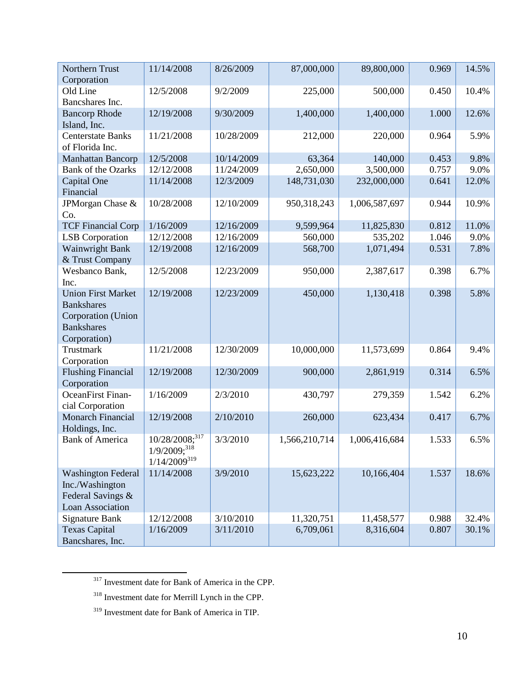| Northern Trust                              | 11/14/2008                 | 8/26/2009  | 87,000,000    | 89,800,000    | 0.969 | 14.5% |
|---------------------------------------------|----------------------------|------------|---------------|---------------|-------|-------|
| Corporation                                 |                            |            |               |               |       |       |
| Old Line<br>Bancshares Inc.                 | 12/5/2008                  | 9/2/2009   | 225,000       | 500,000       | 0.450 | 10.4% |
| <b>Bancorp Rhode</b><br>Island, Inc.        | 12/19/2008                 | 9/30/2009  | 1,400,000     | 1,400,000     | 1.000 | 12.6% |
| <b>Centerstate Banks</b><br>of Florida Inc. | 11/21/2008                 | 10/28/2009 | 212,000       | 220,000       | 0.964 | 5.9%  |
| <b>Manhattan Bancorp</b>                    | 12/5/2008                  | 10/14/2009 | 63,364        | 140,000       | 0.453 | 9.8%  |
| <b>Bank of the Ozarks</b>                   | 12/12/2008                 | 11/24/2009 | 2,650,000     | 3,500,000     | 0.757 | 9.0%  |
| Capital One                                 | 11/14/2008                 | 12/3/2009  | 148,731,030   | 232,000,000   | 0.641 | 12.0% |
| Financial                                   |                            |            |               |               |       |       |
| JPMorgan Chase &                            | 10/28/2008                 | 12/10/2009 | 950,318,243   | 1,006,587,697 | 0.944 | 10.9% |
| Co.                                         |                            |            |               |               |       |       |
| <b>TCF Financial Corp</b>                   | 1/16/2009                  | 12/16/2009 | 9,599,964     | 11,825,830    | 0.812 | 11.0% |
| <b>LSB</b> Corporation                      | 12/12/2008                 | 12/16/2009 | 560,000       | 535,202       | 1.046 | 9.0%  |
| Wainwright Bank                             | 12/19/2008                 | 12/16/2009 | 568,700       | 1,071,494     | 0.531 | 7.8%  |
| & Trust Company                             |                            |            |               |               |       |       |
| Wesbanco Bank,                              | 12/5/2008                  | 12/23/2009 | 950,000       | 2,387,617     | 0.398 | 6.7%  |
| Inc.                                        |                            |            |               |               |       |       |
| <b>Union First Market</b>                   | 12/19/2008                 | 12/23/2009 | 450,000       | 1,130,418     | 0.398 | 5.8%  |
| <b>Bankshares</b>                           |                            |            |               |               |       |       |
| Corporation (Union                          |                            |            |               |               |       |       |
| <b>Bankshares</b>                           |                            |            |               |               |       |       |
| Corporation)                                |                            |            |               |               |       |       |
| Trustmark                                   | 11/21/2008                 | 12/30/2009 | 10,000,000    | 11,573,699    | 0.864 | 9.4%  |
| Corporation                                 |                            |            |               |               |       |       |
| <b>Flushing Financial</b>                   | 12/19/2008                 | 12/30/2009 | 900,000       | 2,861,919     | 0.314 | 6.5%  |
| Corporation                                 |                            |            |               |               |       |       |
| OceanFirst Finan-                           | 1/16/2009                  | 2/3/2010   | 430,797       | 279,359       | 1.542 | 6.2%  |
| cial Corporation                            |                            |            |               |               |       |       |
| Monarch Financial                           | 12/19/2008                 | 2/10/2010  | 260,000       | 623,434       | 0.417 | 6.7%  |
| Holdings, Inc.                              |                            |            |               |               |       |       |
| <b>Bank of America</b>                      | 10/28/2008; <sup>317</sup> | 3/3/2010   | 1,566,210,714 | 1,006,416,684 | 1.533 | 6.5%  |
|                                             | $1/9/2009;^{318}$          |            |               |               |       |       |
|                                             | $1/14/2009^{319}$          |            |               |               |       |       |
| <b>Washington Federal</b>                   | 11/14/2008                 | 3/9/2010   | 15,623,222    | 10,166,404    | 1.537 | 18.6% |
| Inc./Washington                             |                            |            |               |               |       |       |
| Federal Savings &                           |                            |            |               |               |       |       |
| Loan Association                            |                            |            |               |               |       |       |
| <b>Signature Bank</b>                       | 12/12/2008                 | 3/10/2010  | 11,320,751    | 11,458,577    | 0.988 | 32.4% |
| <b>Texas Capital</b>                        | 1/16/2009                  | 3/11/2010  | 6,709,061     | 8,316,604     | 0.807 | 30.1% |
| Bancshares, Inc.                            |                            |            |               |               |       |       |

<sup>&</sup>lt;sup>317</sup> Investment date for Bank of America in the CPP.

 $\overline{\phantom{a}}$ 

<sup>318</sup> Investment date for Merrill Lynch in the CPP.

<sup>319</sup> Investment date for Bank of America in TIP.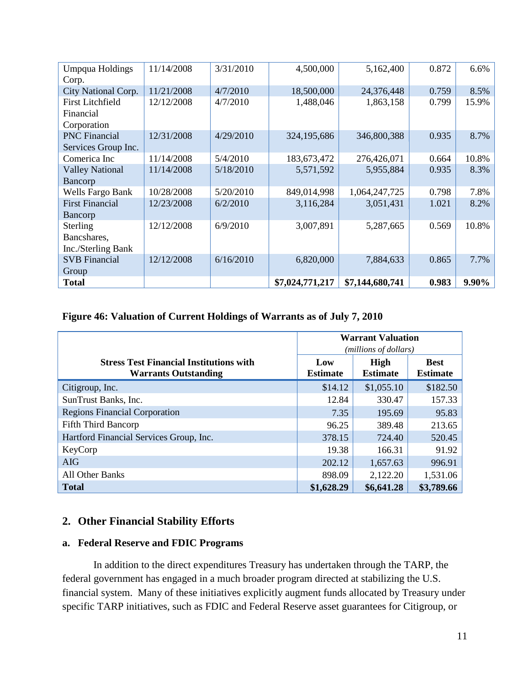| <b>Umpqua Holdings</b>  | 11/14/2008 | 3/31/2010 | 4,500,000       | 5,162,400       | 0.872 | 6.6%  |
|-------------------------|------------|-----------|-----------------|-----------------|-------|-------|
| Corp.                   |            |           |                 |                 |       |       |
| City National Corp.     | 11/21/2008 | 4/7/2010  | 18,500,000      | 24,376,448      | 0.759 | 8.5%  |
| <b>First Litchfield</b> | 12/12/2008 | 4/7/2010  | 1,488,046       | 1,863,158       | 0.799 | 15.9% |
| Financial               |            |           |                 |                 |       |       |
| Corporation             |            |           |                 |                 |       |       |
| <b>PNC</b> Financial    | 12/31/2008 | 4/29/2010 | 324,195,686     | 346,800,388     | 0.935 | 8.7%  |
| Services Group Inc.     |            |           |                 |                 |       |       |
| Comerica Inc            | 11/14/2008 | 5/4/2010  | 183,673,472     | 276,426,071     | 0.664 | 10.8% |
| <b>Valley National</b>  | 11/14/2008 | 5/18/2010 | 5,571,592       | 5,955,884       | 0.935 | 8.3%  |
| Bancorp                 |            |           |                 |                 |       |       |
| Wells Fargo Bank        | 10/28/2008 | 5/20/2010 | 849,014,998     | 1,064,247,725   | 0.798 | 7.8%  |
| <b>First Financial</b>  | 12/23/2008 | 6/2/2010  | 3,116,284       | 3,051,431       | 1.021 | 8.2%  |
| Bancorp                 |            |           |                 |                 |       |       |
| Sterling                | 12/12/2008 | 6/9/2010  | 3,007,891       | 5,287,665       | 0.569 | 10.8% |
| Bancshares,             |            |           |                 |                 |       |       |
| Inc./Sterling Bank      |            |           |                 |                 |       |       |
| <b>SVB</b> Financial    | 12/12/2008 | 6/16/2010 | 6,820,000       | 7,884,633       | 0.865 | 7.7%  |
| Group                   |            |           |                 |                 |       |       |
| <b>Total</b>            |            |           | \$7,024,771,217 | \$7,144,680,741 | 0.983 | 9.90% |

## **Figure 46: Valuation of Current Holdings of Warrants as of July 7, 2010**

|                                                                               | <b>Warrant Valuation</b><br>(millions of dollars) |                         |                                |  |
|-------------------------------------------------------------------------------|---------------------------------------------------|-------------------------|--------------------------------|--|
| <b>Stress Test Financial Institutions with</b><br><b>Warrants Outstanding</b> | Low<br><b>Estimate</b>                            | High<br><b>Estimate</b> | <b>Best</b><br><b>Estimate</b> |  |
| Citigroup, Inc.                                                               | \$14.12                                           | \$1,055.10              | \$182.50                       |  |
| SunTrust Banks, Inc.                                                          | 12.84                                             | 330.47                  | 157.33                         |  |
| <b>Regions Financial Corporation</b>                                          | 7.35                                              | 195.69                  | 95.83                          |  |
| Fifth Third Bancorp                                                           | 96.25                                             | 389.48                  | 213.65                         |  |
| Hartford Financial Services Group, Inc.                                       | 378.15                                            | 724.40                  | 520.45                         |  |
| KeyCorp                                                                       | 19.38                                             | 166.31                  | 91.92                          |  |
| <b>AIG</b>                                                                    | 202.12                                            | 1,657.63                | 996.91                         |  |
| <b>All Other Banks</b>                                                        | 898.09                                            | 2,122.20                | 1,531.06                       |  |
| <b>Total</b>                                                                  | \$1,628.29                                        | \$6,641.28              | \$3,789.66                     |  |

## **2. Other Financial Stability Efforts**

## **a. Federal Reserve and FDIC Programs**

In addition to the direct expenditures Treasury has undertaken through the TARP, the federal government has engaged in a much broader program directed at stabilizing the U.S. financial system. Many of these initiatives explicitly augment funds allocated by Treasury under specific TARP initiatives, such as FDIC and Federal Reserve asset guarantees for Citigroup, or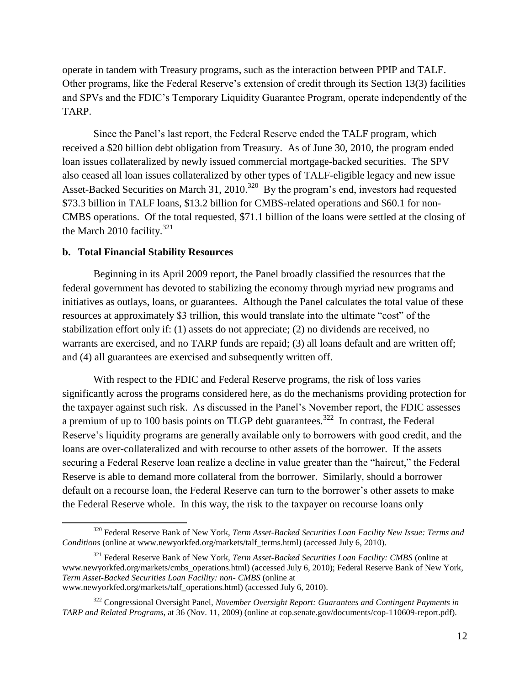operate in tandem with Treasury programs, such as the interaction between PPIP and TALF. Other programs, like the Federal Reserve's extension of credit through its Section 13(3) facilities and SPVs and the FDIC's Temporary Liquidity Guarantee Program, operate independently of the TARP.

Since the Panel's last report, the Federal Reserve ended the TALF program, which received a \$20 billion debt obligation from Treasury. As of June 30, 2010, the program ended loan issues collateralized by newly issued commercial mortgage-backed securities. The SPV also ceased all loan issues collateralized by other types of TALF-eligible legacy and new issue Asset-Backed Securities on March 31,  $2010$ <sup>320</sup> By the program's end, investors had requested \$73.3 billion in TALF loans, \$13.2 billion for CMBS-related operations and \$60.1 for non-CMBS operations. Of the total requested, \$71.1 billion of the loans were settled at the closing of the March 2010 facility.<sup>321</sup>

### **b. Total Financial Stability Resources**

 $\overline{a}$ 

Beginning in its April 2009 report, the Panel broadly classified the resources that the federal government has devoted to stabilizing the economy through myriad new programs and initiatives as outlays, loans, or guarantees. Although the Panel calculates the total value of these resources at approximately \$3 trillion, this would translate into the ultimate "cost" of the stabilization effort only if: (1) assets do not appreciate; (2) no dividends are received, no warrants are exercised, and no TARP funds are repaid; (3) all loans default and are written off; and (4) all guarantees are exercised and subsequently written off.

With respect to the FDIC and Federal Reserve programs, the risk of loss varies significantly across the programs considered here, as do the mechanisms providing protection for the taxpayer against such risk. As discussed in the Panel's November report, the FDIC assesses a premium of up to 100 basis points on TLGP debt guarantees.<sup>322</sup> In contrast, the Federal Reserve's liquidity programs are generally available only to borrowers with good credit, and the loans are over-collateralized and with recourse to other assets of the borrower. If the assets securing a Federal Reserve loan realize a decline in value greater than the "haircut," the Federal Reserve is able to demand more collateral from the borrower. Similarly, should a borrower default on a recourse loan, the Federal Reserve can turn to the borrower's other assets to make the Federal Reserve whole. In this way, the risk to the taxpayer on recourse loans only

<sup>320</sup> Federal Reserve Bank of New York, *Term Asset-Backed Securities Loan Facility New Issue: Terms and Conditions* (online at www.newyorkfed.org/markets/talf\_terms.html) (accessed July 6, 2010).

<sup>321</sup> Federal Reserve Bank of New York, *Term Asset-Backed Securities Loan Facility: CMBS* (online at www.newyorkfed.org/markets/cmbs\_operations.html) (accessed July 6, 2010); Federal Reserve Bank of New York, *Term Asset-Backed Securities Loan Facility: non- CMBS* (online at www.newyorkfed.org/markets/talf\_operations.html) (accessed July 6, 2010).

<sup>322</sup> Congressional Oversight Panel, *November Oversight Report: Guarantees and Contingent Payments in TARP and Related Programs*, at 36 (Nov. 11, 2009) (online at cop.senate.gov/documents/cop-110609-report.pdf).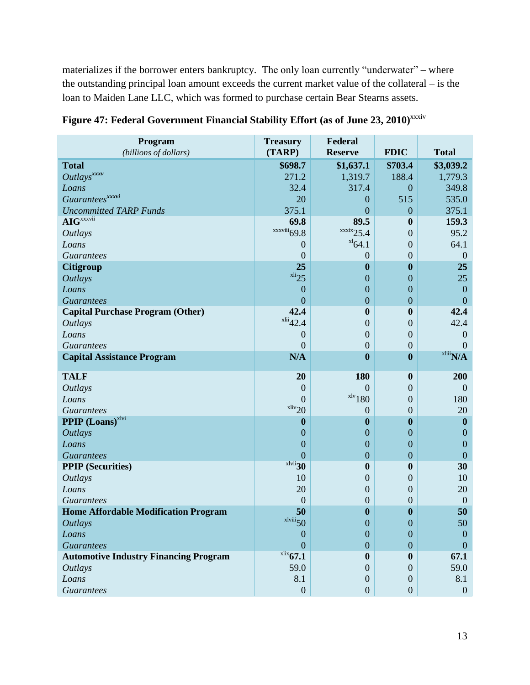materializes if the borrower enters bankruptcy. The only loan currently "underwater" – where the outstanding principal loan amount exceeds the current market value of the collateral – is the loan to Maiden Lane LLC, which was formed to purchase certain Bear Stearns assets.

| Program<br>(billions of dollars)             | <b>Treasury</b><br>(TARP) | Federal<br><b>Reserve</b> | <b>FDIC</b>      | <b>Total</b>     |
|----------------------------------------------|---------------------------|---------------------------|------------------|------------------|
| <b>Total</b>                                 | \$698.7                   | \$1,637.1                 | \$703.4          | \$3,039.2        |
| Outlays <sup>xxxv</sup>                      | 271.2                     | 1,319.7                   | 188.4            | 1,779.3          |
| Loans                                        | 32.4                      | 317.4                     | $\boldsymbol{0}$ | 349.8            |
| Guarantees <sup>xxxvi</sup>                  | 20                        | $\theta$                  | 515              | 535.0            |
| <b>Uncommitted TARP Funds</b>                | 375.1                     | $\overline{0}$            | $\overline{0}$   | 375.1            |
| $\mathbf{AIG}^{xxxxii}$                      | 69.8                      | 89.5                      | $\boldsymbol{0}$ | 159.3            |
| <b>Outlays</b>                               | $\frac{xxviii}{69.8}$     | $\frac{xx}{x}$ 25.4       | $\overline{0}$   | 95.2             |
| Loans                                        | $\theta$                  | $^{x1}64.1$               | $\overline{0}$   | 64.1             |
| <b>Guarantees</b>                            | $\overline{0}$            | $\overline{0}$            | $\overline{0}$   | $\overline{0}$   |
| <b>Citigroup</b>                             | 25                        | $\bf{0}$                  | $\boldsymbol{0}$ | 25               |
| <b>Outlays</b>                               | $x$ li <sub>25</sub>      | $\mathbf{0}$              | $\boldsymbol{0}$ | 25               |
| Loans                                        | $\mathbf{0}$              | $\mathbf{0}$              | $\boldsymbol{0}$ | $\mathbf{0}$     |
| <b>Guarantees</b>                            | $\overline{0}$            | $\overline{0}$            | $\overline{0}$   | $\overline{0}$   |
| <b>Capital Purchase Program (Other)</b>      | 42.4                      | $\boldsymbol{0}$          | $\boldsymbol{0}$ | 42.4             |
| <b>Outlays</b>                               | $x^{\text{liii}}$ 42.4    | $\boldsymbol{0}$          | $\overline{0}$   | 42.4             |
| Loans                                        | $\boldsymbol{0}$          | $\boldsymbol{0}$          | $\boldsymbol{0}$ | $\boldsymbol{0}$ |
| <b>Guarantees</b>                            | $\overline{0}$            | $\boldsymbol{0}$          | $\boldsymbol{0}$ | $\overline{0}$   |
| <b>Capital Assistance Program</b>            | N/A                       | $\boldsymbol{0}$          | $\boldsymbol{0}$ | $x$ liii $N/A$   |
| <b>TALF</b>                                  | 20                        | 180                       | $\boldsymbol{0}$ | 200              |
| <b>Outlays</b>                               | $\boldsymbol{0}$          | $\theta$                  | $\overline{0}$   | $\overline{0}$   |
| Loans                                        | $\overline{0}$            | $x^{\text{1v}}$ 180       | $\overline{0}$   | 180              |
| <b>Guarantees</b>                            | $x$ liv <sub>20</sub>     | $\theta$                  | $\overline{0}$   | 20               |
| <b>PPIP</b> (Loans) <sup>xlvi</sup>          | $\boldsymbol{0}$          | $\boldsymbol{0}$          | $\bf{0}$         | $\boldsymbol{0}$ |
| <b>Outlays</b>                               | $\mathbf{0}$              | $\mathbf{0}$              | $\boldsymbol{0}$ | $\boldsymbol{0}$ |
| Loans                                        | $\mathbf{0}$              | $\mathbf{0}$              | $\boldsymbol{0}$ | $\mathbf{0}$     |
| <b>Guarantees</b>                            | $\overline{0}$            | $\boldsymbol{0}$          | $\overline{0}$   | $\mathbf{0}$     |
| <b>PPIP</b> (Securities)                     | xlvii <sub>30</sub>       | $\boldsymbol{0}$          | $\boldsymbol{0}$ | 30               |
| <b>Outlays</b>                               | 10                        | $\boldsymbol{0}$          | $\theta$         | 10               |
| Loans                                        | 20                        | $\boldsymbol{0}$          | $\boldsymbol{0}$ | 20               |
| <i>Guarantees</i>                            | $\boldsymbol{0}$          | $\mathbf{0}$              | $\boldsymbol{0}$ | $\boldsymbol{0}$ |
| <b>Home Affordable Modification Program</b>  | 50                        | $\boldsymbol{0}$          | $\boldsymbol{0}$ | 50               |
| <b>Outlays</b>                               | $x$ lviii $50$            | $\boldsymbol{0}$          | $\boldsymbol{0}$ | 50               |
| Loans                                        | $\mathbf{0}$              | $\Omega$                  | $\Omega$         | $\boldsymbol{0}$ |
| <b>Guarantees</b>                            | $\overline{0}$            | $\mathbf{0}$              | $\overline{0}$   | $\overline{0}$   |
| <b>Automotive Industry Financing Program</b> | $x$ lix <sub>67.1</sub>   | $\bf{0}$                  | 0                | 67.1             |
| <b>Outlays</b>                               | 59.0                      | $\overline{0}$            | $\Omega$         | 59.0             |
| Loans                                        | 8.1                       | $\boldsymbol{0}$          | $\overline{0}$   | 8.1              |
| <b>Guarantees</b>                            | $\boldsymbol{0}$          | $\mathbf{0}$              | $\overline{0}$   | $\mathbf{0}$     |

Figure 47: Federal Government Financial Stability Effort (as of June 23, 2010)<sup>xxxiv</sup>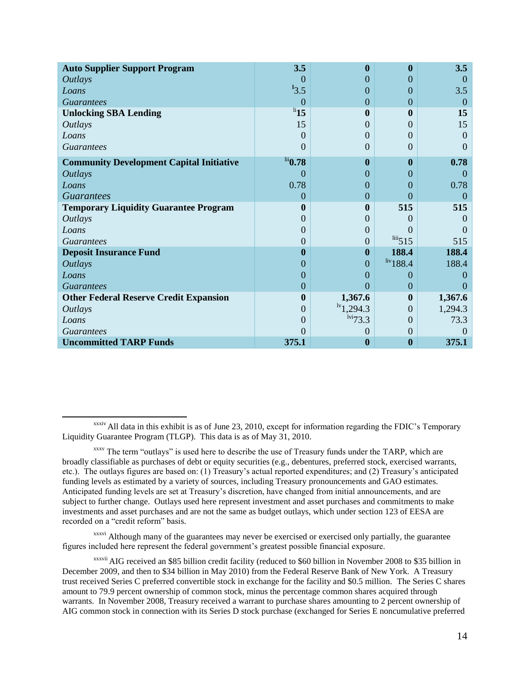| <b>Auto Supplier Support Program</b>            | 3.5                             | $\bf{0}$                              | $\boldsymbol{0}$          | 3.5            |
|-------------------------------------------------|---------------------------------|---------------------------------------|---------------------------|----------------|
| <i><b>Outlays</b></i>                           | $\Omega$                        | 0                                     | $\theta$                  | $\theta$       |
| Loans                                           | $^{13.5}$                       | 0                                     | $\Omega$                  | 3.5            |
| <b>Guarantees</b>                               | $\Omega$                        | $\boldsymbol{0}$                      | $\overline{0}$            | $\overline{0}$ |
| <b>Unlocking SBA Lending</b>                    | $\overline{\phantom{a}^{li}15}$ | 0                                     | $\mathbf{0}$              | 15             |
| <i>Outlays</i>                                  | 15                              | 0                                     | $\Omega$                  | 15             |
| Loans                                           | $\theta$                        | 0                                     | $\Omega$                  | $\Omega$       |
| <b>Guarantees</b>                               | $\theta$                        | $\theta$                              | $\Omega$                  | $\theta$       |
| <b>Community Development Capital Initiative</b> | $\mathrm{^{iii}}$ 0.78          | $\boldsymbol{0}$                      | $\mathbf{0}$              | 0.78           |
| <i><b>Outlays</b></i>                           | $\theta$                        | 0                                     | $\theta$                  | $\Omega$       |
| Loans                                           | 0.78                            | $\theta$                              | $\Omega$                  | 0.78           |
| <b>Guarantees</b>                               | $\theta$                        | $\overline{0}$                        | $\Omega$                  | $\Omega$       |
| <b>Temporary Liquidity Guarantee Program</b>    | $\bf{0}$                        | $\bf{0}$                              | 515                       | 515            |
| <i>Outlays</i>                                  | $\Omega$                        | 0                                     | $\Omega$                  | $\theta$       |
| Loans                                           | $\theta$                        | 0                                     | $\Omega$                  |                |
| <i>Guarantees</i>                               | $\overline{0}$                  | $\theta$                              | $\frac{\text{liii}}{515}$ | 515            |
| <b>Deposit Insurance Fund</b>                   | $\bf{0}$                        | $\boldsymbol{0}$                      | 188.4                     | 188.4          |
| <b>Outlays</b>                                  | $\theta$                        | $\overline{0}$                        | $div$ 188.4               | 188.4          |
| Loans                                           | 0                               | 0                                     | $\Omega$                  | $\theta$       |
| <b>Guarantees</b>                               | $\theta$                        | 0                                     | $\overline{0}$            |                |
| <b>Other Federal Reserve Credit Expansion</b>   | $\boldsymbol{0}$                | 1,367.6                               | $\bf{0}$                  | 1,367.6        |
| <i>Outlays</i>                                  | $\theta$                        | $\frac{1}{1}$ ,294.3                  | $\Omega$                  | 1,294.3        |
| Loans                                           | $\theta$                        | $1\overline{v}$ <sup>1vi</sup> $73.3$ | $\Omega$                  | 73.3           |
| <b>Guarantees</b>                               | 0                               | $_{0}$                                | $\Omega$                  | $\left($       |
| <b>Uncommitted TARP Funds</b>                   | 375.1                           | $\bf{0}$                              | $\boldsymbol{0}$          | 375.1          |

 $\overline{a}$ xxxiv All data in this exhibit is as of June 23, 2010, except for information regarding the FDIC's Temporary Liquidity Guarantee Program (TLGP). This data is as of May 31, 2010.

xxxvi Although many of the guarantees may never be exercised or exercised only partially, the guarantee figures included here represent the federal government's greatest possible financial exposure.

xxxv The term "outlays" is used here to describe the use of Treasury funds under the TARP, which are broadly classifiable as purchases of debt or equity securities (e.g., debentures, preferred stock, exercised warrants, etc.). The outlays figures are based on: (1) Treasury's actual reported expenditures; and (2) Treasury's anticipated funding levels as estimated by a variety of sources, including Treasury pronouncements and GAO estimates. Anticipated funding levels are set at Treasury's discretion, have changed from initial announcements, and are subject to further change. Outlays used here represent investment and asset purchases and commitments to make investments and asset purchases and are not the same as budget outlays, which under section 123 of EESA are recorded on a "credit reform" basis.

xxxvii AIG received an \$85 billion credit facility (reduced to \$60 billion in November 2008 to \$35 billion in December 2009, and then to \$34 billion in May 2010) from the Federal Reserve Bank of New York. A Treasury trust received Series C preferred convertible stock in exchange for the facility and \$0.5 million. The Series C shares amount to 79.9 percent ownership of common stock, minus the percentage common shares acquired through warrants. In November 2008, Treasury received a warrant to purchase shares amounting to 2 percent ownership of AIG common stock in connection with its Series D stock purchase (exchanged for Series E noncumulative preferred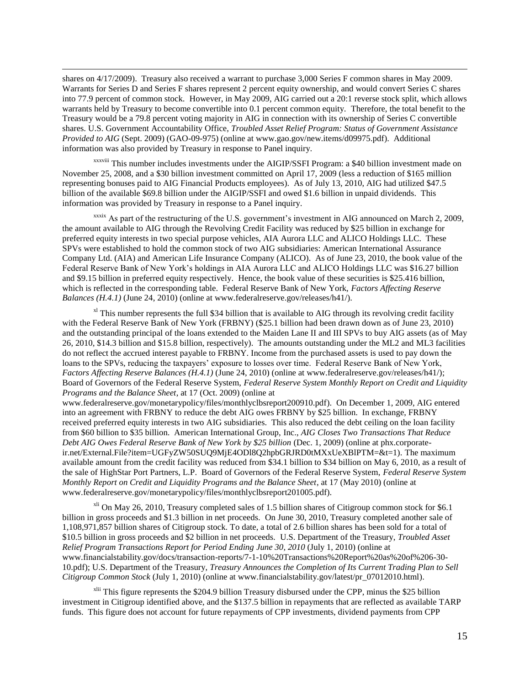shares on 4/17/2009). Treasury also received a warrant to purchase 3,000 Series F common shares in May 2009. Warrants for Series D and Series F shares represent 2 percent equity ownership, and would convert Series C shares into 77.9 percent of common stock. However, in May 2009, AIG carried out a 20:1 reverse stock split, which allows warrants held by Treasury to become convertible into 0.1 percent common equity. Therefore, the total benefit to the Treasury would be a 79.8 percent voting majority in AIG in connection with its ownership of Series C convertible shares. U.S. Government Accountability Office, *Troubled Asset Relief Program: Status of Government Assistance Provided to AIG* (Sept. 2009) (GAO-09-975) (online a[t www.gao.gov/new.items/d09975.pdf\)](http://www.gao.gov/new.items/d09975.pdf). Additional information was also provided by Treasury in response to Panel inquiry.

 $\overline{\phantom{a}}$ 

xxxviii This number includes investments under the AIGIP/SSFI Program: a \$40 billion investment made on November 25, 2008, and a \$30 billion investment committed on April 17, 2009 (less a reduction of \$165 million representing bonuses paid to AIG Financial Products employees). As of July 13, 2010, AIG had utilized \$47.5 billion of the available \$69.8 billion under the AIGIP/SSFI and owed \$1.6 billion in unpaid dividends. This information was provided by Treasury in response to a Panel inquiry.

xxxix As part of the restructuring of the U.S. government's investment in AIG announced on March 2, 2009, the amount available to AIG through the Revolving Credit Facility was reduced by \$25 billion in exchange for preferred equity interests in two special purpose vehicles, AIA Aurora LLC and ALICO Holdings LLC. These SPVs were established to hold the common stock of two AIG subsidiaries: American International Assurance Company Ltd. (AIA) and American Life Insurance Company (ALICO). As of June 23, 2010, the book value of the Federal Reserve Bank of New York's holdings in AIA Aurora LLC and ALICO Holdings LLC was \$16.27 billion and \$9.15 billion in preferred equity respectively. Hence, the book value of these securities is \$25.416 billion, which is reflected in the corresponding table. Federal Reserve Bank of New York, *Factors Affecting Reserve Balances (H.4.1)* (June 24, 2010) (online at www.federalreserve.gov/releases/h41/).

 $x<sup>1</sup>$  This number represents the full \$34 billion that is available to AIG through its revolving credit facility with the Federal Reserve Bank of New York (FRBNY) (\$25.1 billion had been drawn down as of June 23, 2010) and the outstanding principal of the loans extended to the Maiden Lane II and III SPVs to buy AIG assets (as of May 26, 2010, \$14.3 billion and \$15.8 billion, respectively). The amounts outstanding under the ML2 and ML3 facilities do not reflect the accrued interest payable to FRBNY. Income from the purchased assets is used to pay down the loans to the SPVs, reducing the taxpayers' exposure to losses over time. Federal Reserve Bank of New York, *Factors Affecting Reserve Balances (H.4.1)* (June 24, 2010) (online at www.federalreserve.gov/releases/h41/); Board of Governors of the Federal Reserve System, *Federal Reserve System Monthly Report on Credit and Liquidity Programs and the Balance Sheet*, at 17 (Oct. 2009) (online at

www.federalreserve.gov/monetarypolicy/files/monthlyclbsreport200910.pdf). On December 1, 2009, AIG entered into an agreement with FRBNY to reduce the debt AIG owes FRBNY by \$25 billion. In exchange, FRBNY received preferred equity interests in two AIG subsidiaries. This also reduced the debt ceiling on the loan facility from \$60 billion to \$35 billion. American International Group, Inc., *AIG Closes Two Transactions That Reduce Debt AIG Owes Federal Reserve Bank of New York by \$25 billion* (Dec. 1, 2009) (online at phx.corporateir.net/External.File?item=UGFyZW50SUQ9MjE4ODl8Q2hpbGRJRD0tMXxUeXBlPTM=&t=1). The maximum available amount from the credit facility was reduced from \$34.1 billion to \$34 billion on May 6, 2010, as a result of the sale of HighStar Port Partners, L.P. Board of Governors of the Federal Reserve System, *Federal Reserve System Monthly Report on Credit and Liquidity Programs and the Balance Sheet*, at 17 (May 2010) (online at www.federalreserve.gov/monetarypolicy/files/monthlyclbsreport201005.pdf).

 $x<sup>l</sup>$  On May 26, 2010, Treasury completed sales of 1.5 billion shares of Citigroup common stock for \$6.1 billion in gross proceeds and \$1.3 billion in net proceeds. On June 30, 2010, Treasury completed another sale of 1,108,971,857 billion shares of Citigroup stock. To date, a total of 2.6 billion shares has been sold for a total of \$10.5 billion in gross proceeds and \$2 billion in net proceeds. U.S. Department of the Treasury, *Troubled Asset Relief Program Transactions Report for Period Ending June 30, 2010* (July 1, 2010) (online at www.financialstability.gov/docs/transaction-reports/7-1-10%20Transactions%20Report%20as%20of%206-30- 10.pdf); U.S. Department of the Treasury, *Treasury Announces the Completion of Its Current Trading Plan to Sell Citigroup Common Stock* (July 1, 2010) (online at www.financialstability.gov/latest/pr\_07012010.html).

<sup>xlii</sup> This figure represents the \$204.9 billion Treasury disbursed under the CPP, minus the \$25 billion investment in Citigroup identified above, and the \$137.5 billion in repayments that are reflected as available TARP funds. This figure does not account for future repayments of CPP investments, dividend payments from CPP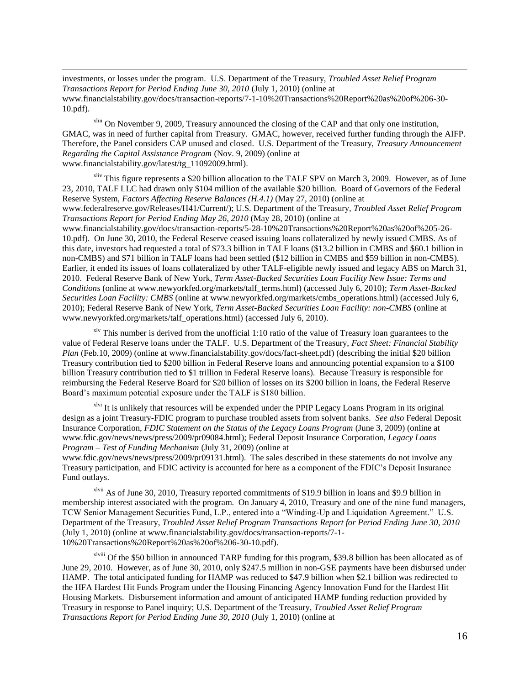investments, or losses under the program. U.S. Department of the Treasury, *Troubled Asset Relief Program Transactions Report for Period Ending June 30, 2010* (July 1, 2010) (online at www.financialstability.gov/docs/transaction-reports/7-1-10%20Transactions%20Report%20as%20of%206-30- 10.pdf).

 $\overline{\phantom{a}}$ 

xliii On November 9, 2009, Treasury announced the closing of the CAP and that only one institution, GMAC, was in need of further capital from Treasury. GMAC, however, received further funding through the AIFP. Therefore, the Panel considers CAP unused and closed. U.S. Department of the Treasury, *Treasury Announcement Regarding the Capital Assistance Program* (Nov. 9, 2009) (online at www.financialstability.gov/latest/tg\_11092009.html).

 $x$ liv This figure represents a \$20 billion allocation to the TALF SPV on March 3, 2009. However, as of June 23, 2010, TALF LLC had drawn only \$104 million of the available \$20 billion. Board of Governors of the Federal Reserve System, *Factors Affecting Reserve Balances (H.4.1)* (May 27, 2010) (online at www.federalreserve.gov/Releases/H41/Current/); U.S. Department of the Treasury, *Troubled Asset Relief Program Transactions Report for Period Ending May 26, 2010* (May 28, 2010) (online at www.financialstability.gov/docs/transaction-reports/5-28-10%20Transactions%20Report%20as%20of%205-26- 10.pdf). On June 30, 2010, the Federal Reserve ceased issuing loans collateralized by newly issued CMBS. As of this date, investors had requested a total of \$73.3 billion in TALF loans (\$13.2 billion in CMBS and \$60.1 billion in non-CMBS) and \$71 billion in TALF loans had been settled (\$12 billion in CMBS and \$59 billion in non-CMBS). Earlier, it ended its issues of loans collateralized by other TALF-eligible newly issued and legacy ABS on March 31, 2010. Federal Reserve Bank of New York, *Term Asset-Backed Securities Loan Facility New Issue: Terms and Conditions* (online at www.newyorkfed.org/markets/talf\_terms.html) (accessed July 6, 2010); *Term Asset-Backed Securities Loan Facility: CMBS* (online at www.newyorkfed.org/markets/cmbs\_operations.html) (accessed July 6, 2010); Federal Reserve Bank of New York, *Term Asset-Backed Securities Loan Facility: non-CMBS* (online at www.newyorkfed.org/markets/talf\_operations.html) (accessed July 6, 2010).

 $x^{1v}$  This number is derived from the unofficial 1:10 ratio of the value of Treasury loan guarantees to the value of Federal Reserve loans under the TALF. U.S. Department of the Treasury, *Fact Sheet: Financial Stability Plan* (Feb.10, 2009) (online at www.financialstability.gov/docs/fact-sheet.pdf) (describing the initial \$20 billion Treasury contribution tied to \$200 billion in Federal Reserve loans and announcing potential expansion to a \$100 billion Treasury contribution tied to \$1 trillion in Federal Reserve loans). Because Treasury is responsible for reimbursing the Federal Reserve Board for \$20 billion of losses on its \$200 billion in loans, the Federal Reserve Board's maximum potential exposure under the TALF is \$180 billion.

<sup>xlvi</sup> It is unlikely that resources will be expended under the PPIP Legacy Loans Program in its original design as a joint Treasury-FDIC program to purchase troubled assets from solvent banks. *See also* Federal Deposit Insurance Corporation*, FDIC Statement on the Status of the Legacy Loans Program* (June 3, 2009) (online at www.fdic.gov/news/news/press/2009/pr09084.html); Federal Deposit Insurance Corporation, *Legacy Loans Program – Test of Funding Mechanism* (July 31, 2009) (online at

www.fdic.gov/news/news/press/2009/pr09131.html). The sales described in these statements do not involve any Treasury participation, and FDIC activity is accounted for here as a component of the FDIC's Deposit Insurance Fund outlays.

xlvii As of June 30, 2010, Treasury reported commitments of \$19.9 billion in loans and \$9.9 billion in membership interest associated with the program. On January 4, 2010, Treasury and one of the nine fund managers, TCW Senior Management Securities Fund, L.P., entered into a "Winding-Up and Liquidation Agreement." U.S. Department of the Treasury, *Troubled Asset Relief Program Transactions Report for Period Ending June 30, 2010* (July 1, 2010) (online at www.financialstability.gov/docs/transaction-reports/7-1- 10%20Transactions%20Report%20as%20of%206-30-10.pdf).

xlviii Of the \$50 billion in announced TARP funding for this program, \$39.8 billion has been allocated as of June 29, 2010. However, as of June 30, 2010, only \$247.5 million in non-GSE payments have been disbursed under HAMP. The total anticipated funding for HAMP was reduced to \$47.9 billion when \$2.1 billion was redirected to the HFA Hardest Hit Funds Program under the Housing Financing Agency Innovation Fund for the Hardest Hit Housing Markets. Disbursement information and amount of anticipated HAMP funding reduction provided by Treasury in response to Panel inquiry; U.S. Department of the Treasury, *Troubled Asset Relief Program Transactions Report for Period Ending June 30, 2010* (July 1, 2010) (online at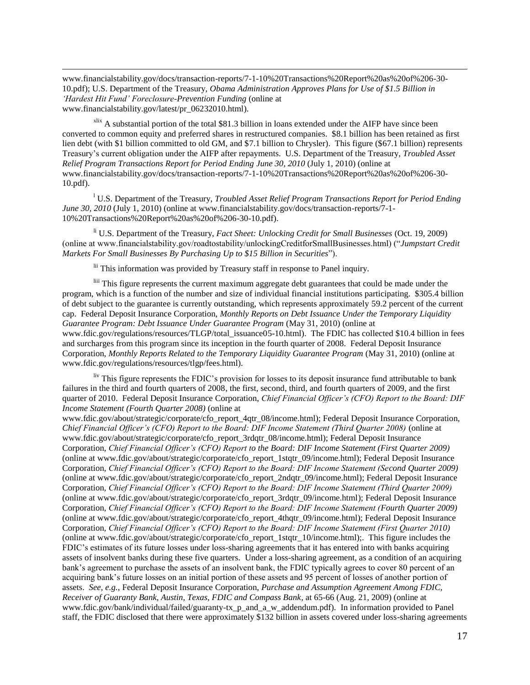www.financialstability.gov/docs/transaction-reports/7-1-10%20Transactions%20Report%20as%20of%206-30- 10.pdf); U.S. Department of the Treasury, *Obama Administration Approves Plans for Use of \$1.5 Billion in 'Hardest Hit Fund' Foreclosure-Prevention Funding* (online at www.financialstability.gov/latest/pr\_06232010.html).

 $\overline{\phantom{a}}$ 

 $x$ lix A substantial portion of the total \$81.3 billion in loans extended under the AIFP have since been converted to common equity and preferred shares in restructured companies. \$8.1 billion has been retained as first lien debt (with \$1 billion committed to old GM, and \$7.1 billion to Chrysler). This figure (\$67.1 billion) represents Treasury's current obligation under the AIFP after repayments. U.S. Department of the Treasury, *Troubled Asset Relief Program Transactions Report for Period Ending June 30, 2010* (July 1, 2010) (online at www.financialstability.gov/docs/transaction-reports/7-1-10%20Transactions%20Report%20as%20of%206-30- 10.pdf).

<sup>l</sup> U.S. Department of the Treasury, *Troubled Asset Relief Program Transactions Report for Period Ending June 30, 2010* (July 1, 2010) (online at www.financialstability.gov/docs/transaction-reports/7-1-10%20Transactions%20Report%20as%20of%206-30-10.pdf).

li U.S. Department of the Treasury, *Fact Sheet: Unlocking Credit for Small Businesses* (Oct. 19, 2009) (online at www.financialstability.gov/roadtostability/unlockingCreditforSmallBusinesses.html) ("*Jumpstart Credit Markets For Small Businesses By Purchasing Up to \$15 Billion in Securities*").

lii This information was provided by Treasury staff in response to Panel inquiry.

liii This figure represents the current maximum aggregate debt guarantees that could be made under the program, which is a function of the number and size of individual financial institutions participating. \$305.4 billion of debt subject to the guarantee is currently outstanding, which represents approximately 59.2 percent of the current cap. Federal Deposit Insurance Corporation, *Monthly Reports on Debt Issuance Under the Temporary Liquidity Guarantee Program: Debt Issuance Under Guarantee Program* (May 31, 2010) (online at www.fdic.gov/regulations/resources/TLGP/total\_issuance05-10.html). The FDIC has collected \$10.4 billion in fees and surcharges from this program since its inception in the fourth quarter of 2008. Federal Deposit Insurance Corporation, *Monthly Reports Related to the Temporary Liquidity Guarantee Program* (May 31, 2010) (online at www.fdic.gov/regulations/resources/tlgp/fees.html).

liv This figure represents the FDIC's provision for losses to its deposit insurance fund attributable to bank failures in the third and fourth quarters of 2008, the first, second, third, and fourth quarters of 2009, and the first quarter of 2010. Federal Deposit Insurance Corporation, *Chief Financial Officer's (CFO) Report to the Board: DIF Income Statement (Fourth Quarter 2008)* (online at

www.fdic.gov/about/strategic/corporate/cfo\_report\_4qtr\_08/income.html); Federal Deposit Insurance Corporation, *Chief Financial Officer's (CFO) Report to the Board: DIF Income Statement (Third Quarter 2008)* (online at www.fdic.gov/about/strategic/corporate/cfo\_report\_3rdqtr\_08/income.html); Federal Deposit Insurance Corporation, *Chief Financial Officer's (CFO) Report to the Board: DIF Income Statement (First Quarter 2009)* (online at www.fdic.gov/about/strategic/corporate/cfo\_report\_1stqtr\_09/income.html); Federal Deposit Insurance Corporation, *Chief Financial Officer's (CFO) Report to the Board: DIF Income Statement (Second Quarter 2009)* (online at www.fdic.gov/about/strategic/corporate/cfo\_report\_2ndqtr\_09/income.html); Federal Deposit Insurance Corporation, *Chief Financial Officer's (CFO) Report to the Board: DIF Income Statement (Third Quarter 2009)* (online at www.fdic.gov/about/strategic/corporate/cfo\_report\_3rdqtr\_09/income.html); Federal Deposit Insurance Corporation, *Chief Financial Officer's (CFO) Report to the Board: DIF Income Statement (Fourth Quarter 2009)* (online at www.fdic.gov/about/strategic/corporate/cfo\_report\_4thqtr\_09/income.html); Federal Deposit Insurance Corporation, *Chief Financial Officer's (CFO) Report to the Board: DIF Income Statement (First Quarter 2010)* (online at www.fdic.gov/about/strategic/corporate/cfo\_report\_1stqtr\_10/income.html);. This figure includes the FDIC's estimates of its future losses under loss-sharing agreements that it has entered into with banks acquiring assets of insolvent banks during these five quarters. Under a loss-sharing agreement, as a condition of an acquiring bank's agreement to purchase the assets of an insolvent bank, the FDIC typically agrees to cover 80 percent of an acquiring bank's future losses on an initial portion of these assets and 95 percent of losses of another portion of assets. *See, e.g.*, Federal Deposit Insurance Corporation, *Purchase and Assumption Agreement Among FDIC, Receiver of Guaranty Bank, Austin, Texas, FDIC and Compass Bank,* at 65-66 (Aug. 21, 2009) (online at www.fdic.gov/bank/individual/failed/guaranty-tx\_p\_and\_a\_w\_addendum.pdf). In information provided to Panel staff, the FDIC disclosed that there were approximately \$132 billion in assets covered under loss-sharing agreements